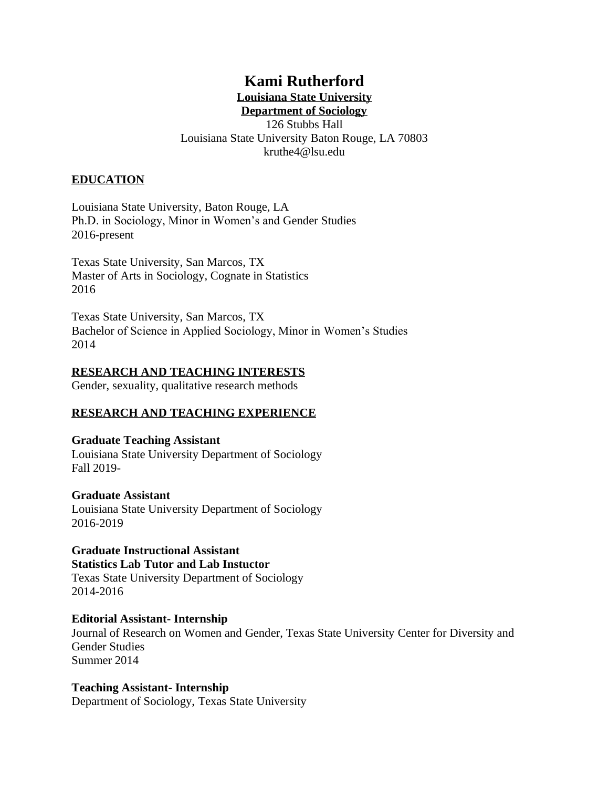# **Kami Rutherford**

# **Louisiana State University**

**Department of Sociology** 126 Stubbs Hall Louisiana State University Baton Rouge, LA 70803 kruthe4@lsu.edu

### **EDUCATION**

Louisiana State University, Baton Rouge, LA Ph.D. in Sociology, Minor in Women's and Gender Studies 2016-present

Texas State University, San Marcos, TX Master of Arts in Sociology, Cognate in Statistics 2016

Texas State University, San Marcos, TX Bachelor of Science in Applied Sociology, Minor in Women's Studies 2014

#### **RESEARCH AND TEACHING INTERESTS**

Gender, sexuality, qualitative research methods

# **RESEARCH AND TEACHING EXPERIENCE**

**Graduate Teaching Assistant** Louisiana State University Department of Sociology Fall 2019-

#### **Graduate Assistant**

Louisiana State University Department of Sociology 2016-2019

# **Graduate Instructional Assistant Statistics Lab Tutor and Lab Instuctor**

Texas State University Department of Sociology 2014-2016

# **Editorial Assistant- Internship**

Journal of Research on Women and Gender, Texas State University Center for Diversity and Gender Studies Summer 2014

#### **Teaching Assistant- Internship**

Department of Sociology, Texas State University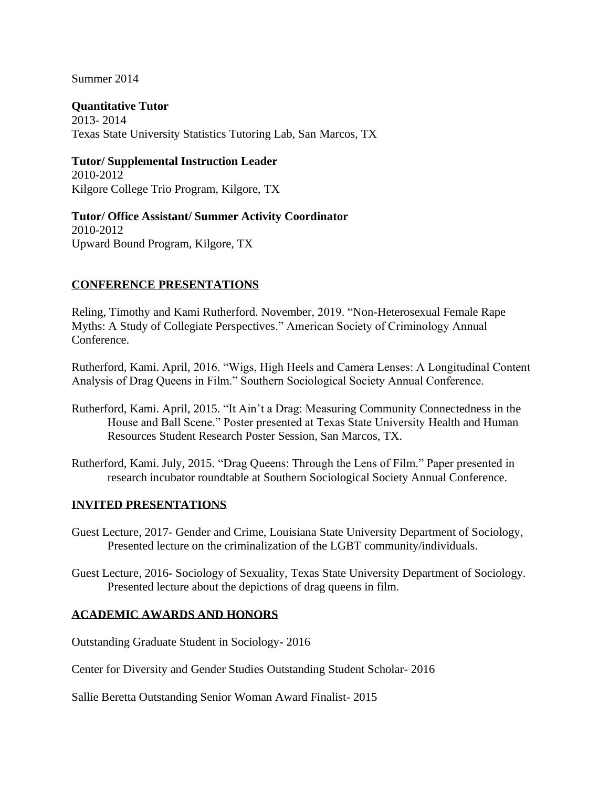### Summer 2014

#### **Quantitative Tutor**

2013- 2014 Texas State University Statistics Tutoring Lab, San Marcos, TX

#### **Tutor/ Supplemental Instruction Leader**

2010-2012 Kilgore College Trio Program, Kilgore, TX

**Tutor/ Office Assistant/ Summer Activity Coordinator** 2010-2012 Upward Bound Program, Kilgore, TX

### **CONFERENCE PRESENTATIONS**

Reling, Timothy and Kami Rutherford. November, 2019. "Non-Heterosexual Female Rape Myths: A Study of Collegiate Perspectives." American Society of Criminology Annual Conference.

Rutherford, Kami. April, 2016. "Wigs, High Heels and Camera Lenses: A Longitudinal Content Analysis of Drag Queens in Film." Southern Sociological Society Annual Conference.

- Rutherford, Kami. April, 2015. "It Ain't a Drag: Measuring Community Connectedness in the House and Ball Scene." Poster presented at Texas State University Health and Human Resources Student Research Poster Session, San Marcos, TX.
- Rutherford, Kami. July, 2015. "Drag Queens: Through the Lens of Film." Paper presented in research incubator roundtable at Southern Sociological Society Annual Conference.

#### **INVITED PRESENTATIONS**

- Guest Lecture, 2017- Gender and Crime, Louisiana State University Department of Sociology, Presented lecture on the criminalization of the LGBT community/individuals.
- Guest Lecture, 2016**-** Sociology of Sexuality, Texas State University Department of Sociology. Presented lecture about the depictions of drag queens in film.

#### **ACADEMIC AWARDS AND HONORS**

Outstanding Graduate Student in Sociology- 2016

Center for Diversity and Gender Studies Outstanding Student Scholar- 2016

Sallie Beretta Outstanding Senior Woman Award Finalist- 2015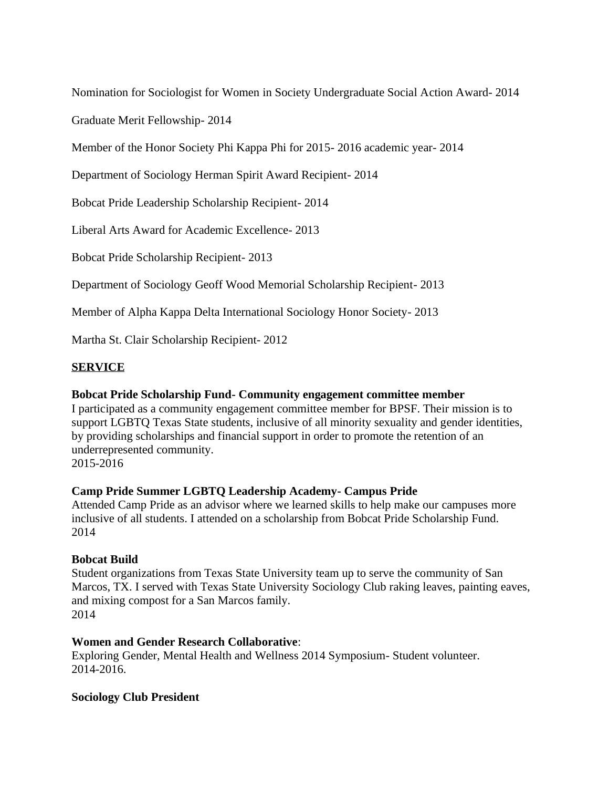Nomination for Sociologist for Women in Society Undergraduate Social Action Award- 2014

Graduate Merit Fellowship- 2014

Member of the Honor Society Phi Kappa Phi for 2015- 2016 academic year- 2014

Department of Sociology Herman Spirit Award Recipient- 2014

Bobcat Pride Leadership Scholarship Recipient- 2014

Liberal Arts Award for Academic Excellence- 2013

Bobcat Pride Scholarship Recipient- 2013

Department of Sociology Geoff Wood Memorial Scholarship Recipient- 2013

Member of Alpha Kappa Delta International Sociology Honor Society- 2013

Martha St. Clair Scholarship Recipient- 2012

# **SERVICE**

# **Bobcat Pride Scholarship Fund- Community engagement committee member**

I participated as a community engagement committee member for BPSF. Their mission is to support LGBTQ Texas State students, inclusive of all minority sexuality and gender identities, by providing scholarships and financial support in order to promote the retention of an underrepresented community.

2015-2016

# **Camp Pride Summer LGBTQ Leadership Academy- Campus Pride**

Attended Camp Pride as an advisor where we learned skills to help make our campuses more inclusive of all students. I attended on a scholarship from Bobcat Pride Scholarship Fund. 2014

# **Bobcat Build**

Student organizations from Texas State University team up to serve the community of San Marcos, TX. I served with Texas State University Sociology Club raking leaves, painting eaves, and mixing compost for a San Marcos family. 2014

# **Women and Gender Research Collaborative**:

Exploring Gender, Mental Health and Wellness 2014 Symposium- Student volunteer. 2014-2016.

# **Sociology Club President**